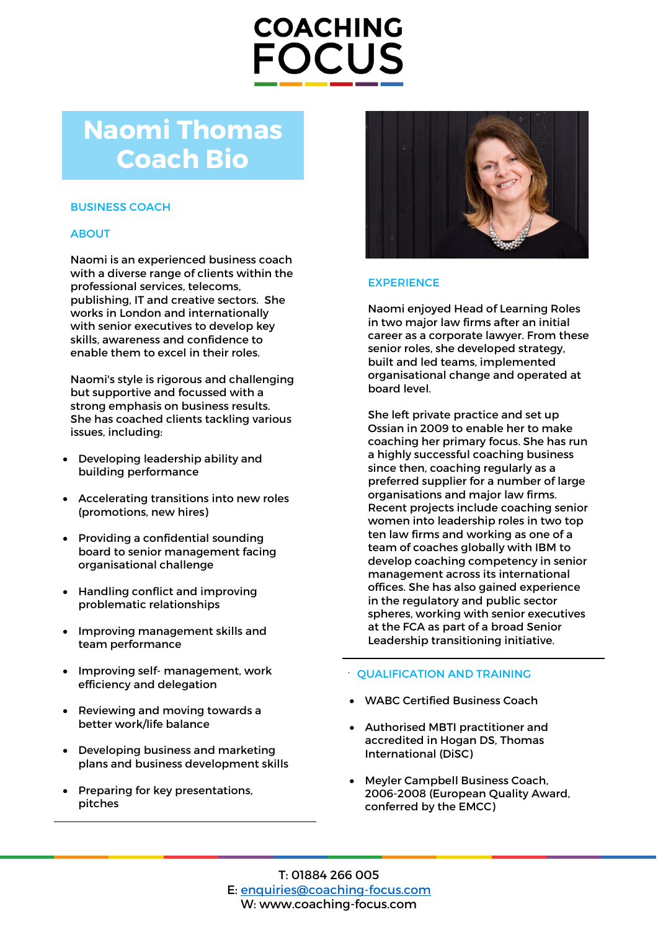# **COACHING FOCUS**

## **Naomi Thomas Coach Bio**

### BUSINESS COACH

## **ABOUT**

Naomi is an experienced business coach with a diverse range of clients within the professional services, telecoms, publishing, IT and creative sectors. She works in London and internationally with senior executives to develop key skills, awareness and confidence to enable them to excel in their roles.

Naomi's style is rigorous and challenging but supportive and focussed with a strong emphasis on business results. She has coached clients tackling various issues, including:

- Developing leadership ability and building performance
- Accelerating transitions into new roles (promotions, new hires)
- Providing a confidential sounding board to senior management facing organisational challenge
- Handling conflict and improving problematic relationships
- Improving management skills and team performance
- Improving self- management, work efficiency and delegation
- Reviewing and moving towards a better work/life balance
- Developing business and marketing plans and business development skills
- Preparing for key presentations, pitches



## **EXPERIENCE**

Naomi enjoyed Head of Learning Roles in two major law firms after an initial career as a corporate lawyer. From these senior roles, she developed strategy, built and led teams, implemented organisational change and operated at board level.

She left private practice and set up Ossian in 2009 to enable her to make coaching her primary focus. She has run a highly successful coaching business since then, coaching regularly as a preferred supplier for a number of large organisations and major law firms. Recent projects include coaching senior women into leadership roles in two top ten law firms and working as one of a team of coaches globally with IBM to develop coaching competency in senior management across its international offices. She has also gained experience in the regulatory and public sector spheres, working with senior executives at the FCA as part of a broad Senior Leadership transitioning initiative.

#### QUALIFICATION AND TRAINING

- WABC Certified Business Coach
- Authorised MBTI practitioner and accredited in Hogan DS, Thomas International (DiSC)
- Meyler Campbell Business Coach, 2006-2008 (European Quality Award, conferred by the EMCC)

T: 01884 266 005 E: [enquiries@coaching-focus.com](mailto:enquiries@coaching-focus.com) W: www.coaching-focus.com